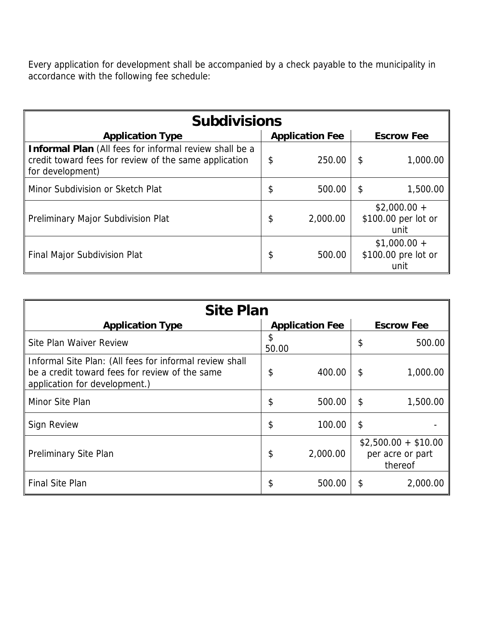Every application for development shall be accompanied by a check payable to the municipality in accordance with the following fee schedule:

| <b>Subdivisions</b>                                                                                                                 |    |                        |                                              |                                              |  |  |  |  |
|-------------------------------------------------------------------------------------------------------------------------------------|----|------------------------|----------------------------------------------|----------------------------------------------|--|--|--|--|
| <b>Application Type</b>                                                                                                             |    | <b>Application Fee</b> | <b>Escrow Fee</b>                            |                                              |  |  |  |  |
| Informal Plan (All fees for informal review shall be a<br>credit toward fees for review of the same application<br>for development) | \$ | 250.00                 | S                                            | 1,000.00                                     |  |  |  |  |
| Minor Subdivision or Sketch Plat                                                                                                    | \$ | 500.00                 | S                                            | 1,500.00                                     |  |  |  |  |
| Preliminary Major Subdivision Plat                                                                                                  | \$ | 2,000.00               |                                              | $$2,000.00 +$<br>\$100.00 per lot or<br>unit |  |  |  |  |
| Final Major Subdivision Plat                                                                                                        | \$ | 500.00                 | $$1,000.00 +$<br>\$100.00 pre lot or<br>unit |                                              |  |  |  |  |

| <b>Site Plan</b>                                                                                                                           |             |                        |                                                     |          |  |  |  |  |
|--------------------------------------------------------------------------------------------------------------------------------------------|-------------|------------------------|-----------------------------------------------------|----------|--|--|--|--|
| <b>Application Type</b>                                                                                                                    |             | <b>Application Fee</b> | <b>Escrow Fee</b>                                   |          |  |  |  |  |
| Site Plan Waiver Review                                                                                                                    | \$<br>50.00 |                        | \$                                                  | 500.00   |  |  |  |  |
| Informal Site Plan: (All fees for informal review shall<br>be a credit toward fees for review of the same<br>application for development.) | \$          | 400.00                 | \$                                                  | 1,000.00 |  |  |  |  |
| Minor Site Plan                                                                                                                            | \$          | 500.00                 | S                                                   | 1,500.00 |  |  |  |  |
| <b>Sign Review</b>                                                                                                                         | \$          | 100.00                 | \$                                                  |          |  |  |  |  |
| Preliminary Site Plan                                                                                                                      | \$          | 2,000.00               | $$2,500.00 + $10.00$<br>per acre or part<br>thereof |          |  |  |  |  |
| <b>Final Site Plan</b>                                                                                                                     | \$          | 500.00                 | S                                                   | 2,000.00 |  |  |  |  |